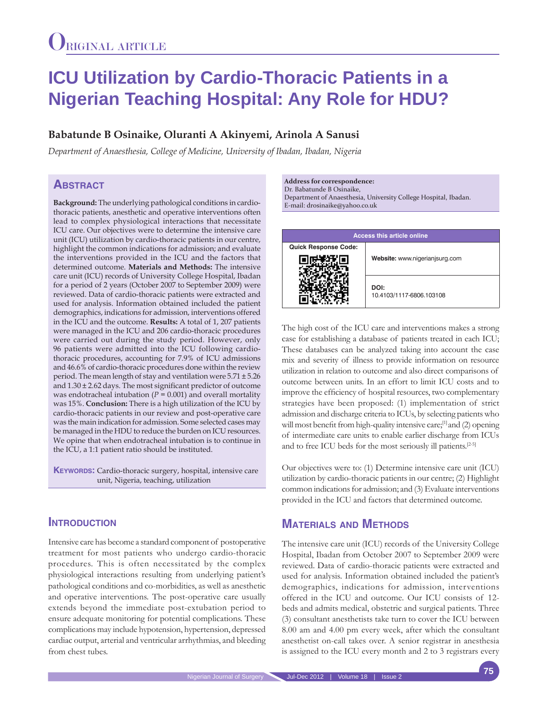# **ICU Utilization by Cardio-Thoracic Patients in a Nigerian Teaching Hospital: Any Role for HDU?**

## **Babatunde B Osinaike, Oluranti A Akinyemi, Arinola A Sanusi**

*Department of Anaesthesia, College of Medicine, University of Ibadan, Ibadan, Nigeria*

## **Abstract**

**Background:** The underlying pathological conditions in cardiothoracic patients, anesthetic and operative interventions often lead to complex physiological interactions that necessitate ICU care. Our objectives were to determine the intensive care unit (ICU) utilization by cardio-thoracic patients in our centre, highlight the common indications for admission; and evaluate the interventions provided in the ICU and the factors that determined outcome. **Materials and Methods:** The intensive care unit (ICU) records of University College Hospital, Ibadan for a period of 2 years (October 2007 to September 2009) were reviewed. Data of cardio-thoracic patients were extracted and used for analysis. Information obtained included the patient demographics, indications for admission, interventions offered in the ICU and the outcome. **Results:** A total of 1, 207 patients were managed in the ICU and 206 cardio-thoracic procedures were carried out during the study period. However, only 96 patients were admitted into the ICU following cardiothoracic procedures, accounting for 7.9% of ICU admissions and 46.6% of cardio-thoracic procedures done within the review period. The mean length of stay and ventilation were 5.71 ± 5.26 and 1.30 ± 2.62 days. The most significant predictor of outcome was endotracheal intubation ( $P = 0.001$ ) and overall mortality was 15%. **Conclusion:** There is a high utilization of the ICU by cardio-thoracic patients in our review and post-operative care was the main indication for admission. Some selected cases may be managed in the HDU to reduce the burden on ICU resources. We opine that when endotracheal intubation is to continue in the ICU, a 1:1 patient ratio should be instituted.

**KEYWORDS:** Cardio-thoracic surgery, hospital, intensive care unit, Nigeria, teaching, utilization

## **INTRODUCTION**

Intensive care has become a standard component of postoperative treatment for most patients who undergo cardio-thoracic procedures. This is often necessitated by the complex physiological interactions resulting from underlying patient's pathological conditions and co-morbidities, as well as anesthetic and operative interventions. The post-operative care usually extends beyond the immediate post-extubation period to ensure adequate monitoring for potential complications. These complications may include hypotension, hypertension, depressed cardiac output, arterial and ventricular arrhythmias, and bleeding from chest tubes.

**Address for correspondence:**  Dr. Babatunde B Osinaike, Department of Anaesthesia, University College Hospital, Ibadan. E-mail: drosinaike@yahoo.co.uk



The high cost of the ICU care and interventions makes a strong case for establishing a database of patients treated in each ICU; These databases can be analyzed taking into account the case mix and severity of illness to provide information on resource utilization in relation to outcome and also direct comparisons of outcome between units. In an effort to limit ICU costs and to improve the efficiency of hospital resources, two complementary strategies have been proposed: (1) implementation of strict admission and discharge criteria to ICUs, by selecting patients who will most benefit from high-quality intensive care;<sup>[1]</sup> and (2) opening of intermediate care units to enable earlier discharge from ICUs and to free ICU beds for the most seriously ill patients.[2-5]

Our objectives were to: (1) Determine intensive care unit (ICU) utilization by cardio-thoracic patients in our centre; (2) Highlight common indications for admission; and (3) Evaluate interventions provided in the ICU and factors that determined outcome.

## **Materials and Methods**

The intensive care unit (ICU) records of the University College Hospital, Ibadan from October 2007 to September 2009 were reviewed. Data of cardio-thoracic patients were extracted and used for analysis. Information obtained included the patient's demographics, indications for admission, interventions offered in the ICU and outcome. Our ICU consists of 12 beds and admits medical, obstetric and surgical patients. Three (3) consultant anesthetists take turn to cover the ICU between 8.00 am and 4.00 pm every week, after which the consultant anesthetist on-call takes over. A senior registrar in anesthesia is assigned to the ICU every month and 2 to 3 registrars every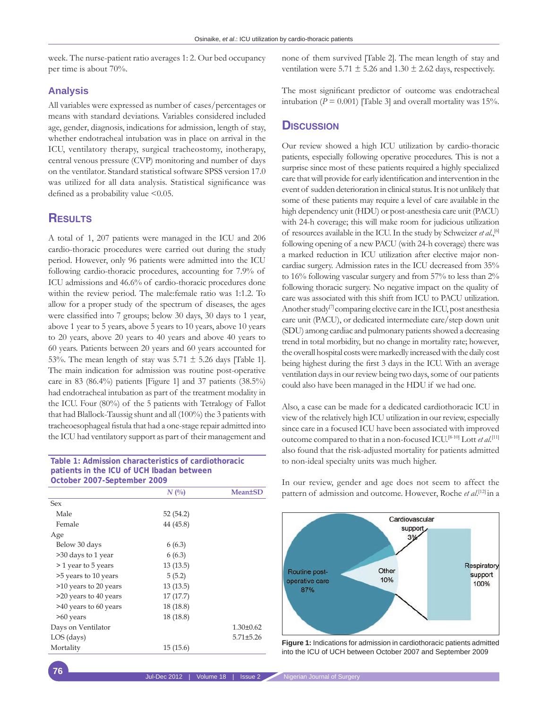week. The nurse-patient ratio averages 1: 2. Our bed occupancy per time is about 70%.

#### **Analysis**

All variables were expressed as number of cases/percentages or means with standard deviations. Variables considered included age, gender, diagnosis, indications for admission, length of stay, whether endotracheal intubation was in place on arrival in the ICU, ventilatory therapy, surgical tracheostomy, inotherapy, central venous pressure (CVP) monitoring and number of days on the ventilator. Standard statistical software SPSS version 17.0 was utilized for all data analysis. Statistical significance was defined as a probability value  $\leq 0.05$ .

## **Results**

A total of 1, 207 patients were managed in the ICU and 206 cardio-thoracic procedures were carried out during the study period. However, only 96 patients were admitted into the ICU following cardio-thoracic procedures, accounting for 7.9% of ICU admissions and 46.6% of cardio-thoracic procedures done within the review period. The male:female ratio was 1:1.2. To allow for a proper study of the spectrum of diseases, the ages were classified into 7 groups; below 30 days, 30 days to 1 year, above 1 year to 5 years, above 5 years to 10 years, above 10 years to 20 years, above 20 years to 40 years and above 40 years to 60 years. Patients between 20 years and 60 years accounted for 53%. The mean length of stay was 5.71  $\pm$  5.26 days [Table 1]. The main indication for admission was routine post-operative care in 83 (86.4%) patients [Figure 1] and 37 patients (38.5%) had endotracheal intubation as part of the treatment modality in the ICU. Four (80%) of the 5 patients with Tetralogy of Fallot that had Blallock-Taussig shunt and all (100%) the 3 patients with tracheoesophageal fistula that had a one-stage repair admitted into the ICU had ventilatory support as part of their management and

**Table 1: Admission characteristics of cardiothoracic patients in the ICU of UCH Ibadan between October 2007-September 2009**

|                       | $N($ %)   | <b>Mean±SD</b>  |
|-----------------------|-----------|-----------------|
| Sex                   |           |                 |
| Male                  | 52 (54.2) |                 |
| Female                | 44 (45.8) |                 |
| Age                   |           |                 |
| Below 30 days         | 6(6.3)    |                 |
| >30 days to 1 year    | 6(6.3)    |                 |
| > 1 year to 5 years   | 13(13.5)  |                 |
| >5 years to 10 years  | 5(5.2)    |                 |
| >10 years to 20 years | 13(13.5)  |                 |
| >20 years to 40 years | 17(17.7)  |                 |
| >40 years to 60 years | 18 (18.8) |                 |
| >60 years             | 18(18.8)  |                 |
| Days on Ventilator    |           | $1.30 \pm 0.62$ |
| LOS (days)            |           | $5.71 \pm 5.26$ |
| Mortality             | 15 (15.6) |                 |

none of them survived [Table 2]. The mean length of stay and ventilation were 5.71  $\pm$  5.26 and 1.30  $\pm$  2.62 days, respectively.

The most significant predictor of outcome was endotracheal intubation ( $P = 0.001$ ) [Table 3] and overall mortality was 15%.

#### **Discussion**

Our review showed a high ICU utilization by cardio-thoracic patients, especially following operative procedures. This is not a surprise since most of these patients required a highly specialized care that will provide for early identification and intervention in the event of sudden deterioration in clinical status. It is not unlikely that some of these patients may require a level of care available in the high dependency unit (HDU) or post-anesthesia care unit (PACU) with 24-h coverage; this will make room for judicious utilization of resources available in the ICU. In the study by Schweizer *et al*.,[6] following opening of a new PACU (with 24-h coverage) there was a marked reduction in ICU utilization after elective major noncardiac surgery. Admission rates in the ICU decreased from 35% to 16% following vascular surgery and from 57% to less than 2% following thoracic surgery. No negative impact on the quality of care was associated with this shift from ICU to PACU utilization. Another study<sup>[7]</sup> comparing elective care in the ICU, post anesthesia care unit (PACU), or dedicated intermediate care/step down unit (SDU) among cardiac and pulmonary patients showed a decreasing trend in total morbidity, but no change in mortality rate; however, the overall hospital costs were markedly increased with the daily cost being highest during the first 3 days in the ICU. With an average ventilation days in our review being two days, some of our patients could also have been managed in the HDU if we had one.

Also, a case can be made for a dedicated cardiothoracic ICU in view of the relatively high ICU utilization in our review, especially since care in a focused ICU have been associated with improved outcome compared to that in a non-focused ICU.<sup>[8-10]</sup> Lott *et al.*<sup>[11]</sup> also found that the risk-adjusted mortality for patients admitted to non-ideal specialty units was much higher.

In our review, gender and age does not seem to affect the pattern of admission and outcome. However, Roche *et al*. [12] in a



Figure 1: Indications for admission in cardiothoracic patients admitted into the ICU of UCH between October 2007 and September 2009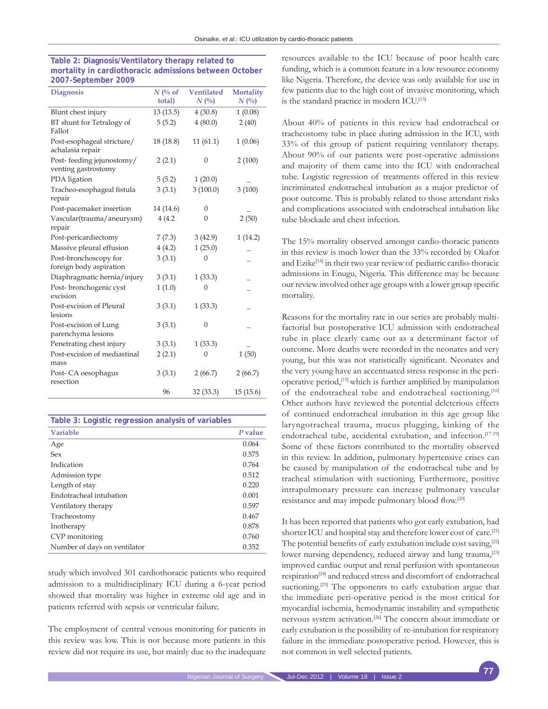| <b>Diagnosis</b>                                 | $N$ (% of<br>total) | <b>Ventilated</b><br>$N($ %) | <b>Mortality</b><br>$N($ %) |
|--------------------------------------------------|---------------------|------------------------------|-----------------------------|
| Blunt chest injury                               | 13(13.5)            | 4(30.8)                      | 1(0.08)                     |
| BT shunt for Tetralogy of<br>Fallot              | 5(5.2)              | 4(80.0)                      | 2(40)                       |
| Post-esophageal stricture/<br>achalasia repair   | 18 (18.8)           | 11(61.1)                     | 1(0.06)                     |
| Post-feeding jejunostomy/<br>venting gastrostomy | 2(2.1)              | $\mathbf{0}$                 | 2(100)                      |
| PDA ligation                                     | 5(5.2)              | 1(20.0)                      |                             |
| Tracheo-esophageal fistula<br>repair             | 3(3.1)              | 3(100.0)                     | 3(100)                      |
| Post-pacemaker insertion                         | 14 (14.6)           | $\overline{0}$               |                             |
| Vascular(trauma/aneurysm)<br>repair              | 4(4.2)              | $\mathbf{0}$                 | 2(50)                       |
| Post-pericardiectomy                             | 7(7.3)              | 3(42.9)                      | 1(14.2)                     |
| Massive pleural effusion                         | 4(4.2)              | 1(25.0)                      |                             |
| Post-bronchoscopy for<br>foreign body aspiration | 3(3.1)              | 0                            |                             |
| Diaphragmatic hernia/injury                      | 3(3.1)              | 1(33.3)                      |                             |
| Post-bronchogenic cyst<br>excision               | 1(1.0)              | $\overline{0}$               |                             |
| Post-excision of Pleural<br>lesions              | 3(3.1)              | 1(33.3)                      |                             |
| Post-excision of Lung<br>parenchyma lesions      | 3(3.1)              | $\overline{0}$               |                             |
| Penetrating chest injury                         | 3(3.1)              | 1(33.3)                      |                             |
| Post-excision of mediastinal<br>mass             | 2(2.1)              | 0                            | 1(50)                       |
| Post-CA oesophagus<br>resection                  | 3(3.1)              | 2(66.7)                      | 2(66.7)                     |
|                                                  | 96                  | 32 (33.3)                    | 15(15.6)                    |

| Table 2: Diagnosis/Ventilatory therapy related to      |
|--------------------------------------------------------|
| mortality in cardiothoracic admissions between October |
| 2007-September 2009                                    |

| Table 3: Logistic regression analysis of variables |         |
|----------------------------------------------------|---------|
| <b>Variable</b>                                    | P value |
| Age                                                | 0.064   |
| Sex                                                | 0.575   |
| Indication                                         | 0.764   |
| Admission type                                     | 0.512   |
| Length of stay                                     | 0.220   |
| Endotracheal intubation                            | 0.001   |
| Ventilatory therapy                                | 0.597   |
| Tracheostomy                                       | 0.467   |
| Inotherapy                                         | 0.878   |
| CVP monitoring                                     | 0.760   |
| Number of days on ventilator                       | 0.352   |

study which involved 301 cardiothoracic patients who required admission to a multidisciplinary ICU during a 6-year period showed that mortality was higher in extreme old age and in patients referred with sepsis or ventricular failure.

The employment of central venous monitoring for patients in this review was low. This is not because more patients in this review did not require its use, but mainly due to the inadequate resources available to the ICU because of poor health care funding, which is a common feature in a low resource economy like Nigeria. Therefore, the device was only available for use in few patients due to the high cost of invasive monitoring, which is the standard practice in modern ICU.[13]

About 40% of patients in this review had endotracheal or tracheostomy tube in place during admission in the ICU, with 33% of this group of patient requiring ventilatory therapy. About 90% of our patients were post-operative admissions and majority of them came into the ICU with endotracheal tube. Logistic regression of treatments offered in this review incriminated endotracheal intubation as a major predictor of poor outcome. This is probably related to those attendant risks and complications associated with endotracheal intubation like tube blockade and chest infection.

The 15% mortality observed amongst cardio-thoracic patients in this review is much lower than the 33% recorded by Okafor and Ezike<sup>[14]</sup> in their two year review of pediatric cardio-thoracic admissions in Enugu, Nigeria. This difference may be because our review involved other age groups with a lower group specific mortality.

Reasons for the mortality rate in our series are probably multifactorial but postoperative ICU admission with endotracheal tube in place clearly came out as a determinant factor of outcome. More deaths were recorded in the neonates and very young, but this was not statistically significant. Neonates and the very young have an accentuated stress response in the perioperative period,[15] which is further amplified by manipulation of the endotracheal tube and endotracheal suctioning.<sup>[16]</sup> Other authors have reviewed the potential deleterious effects of continued endotracheal intubation in this age group like laryngotracheal trauma, mucus plugging, kinking of the endotracheal tube, accidental extubation, and infection.<sup>[17-19]</sup> Some of these factors contributed to the mortality observed in this review. In addition, pulmonary hypertensive crises can be caused by manipulation of the endotracheal tube and by tracheal stimulation with suctioning. Furthermore, positive intrapulmonary pressure can increase pulmonary vascular resistance and may impede pulmonary blood flow.[20]

It has been reported that patients who got early extubation, had shorter ICU and hospital stay and therefore lower cost of care.[21] The potential benefits of early extubation include cost saving,<sup>[22]</sup> lower nursing dependency, reduced airway and lung trauma,<sup>[23]</sup> improved cardiac output and renal perfusion with spontaneous respiration<sup>[24]</sup> and reduced stress and discomfort of endotracheal suctioning.<sup>[25]</sup> The opponents to early extubation argue that the immediate peri-operative period is the most critical for myocardial ischemia, hemodynamic instability and sympathetic nervous system activation.[26] The concern about immediate or early extubation is the possibility of re-intubation for respiratory failure in the immediate postoperative period. However, this is not common in well selected patients.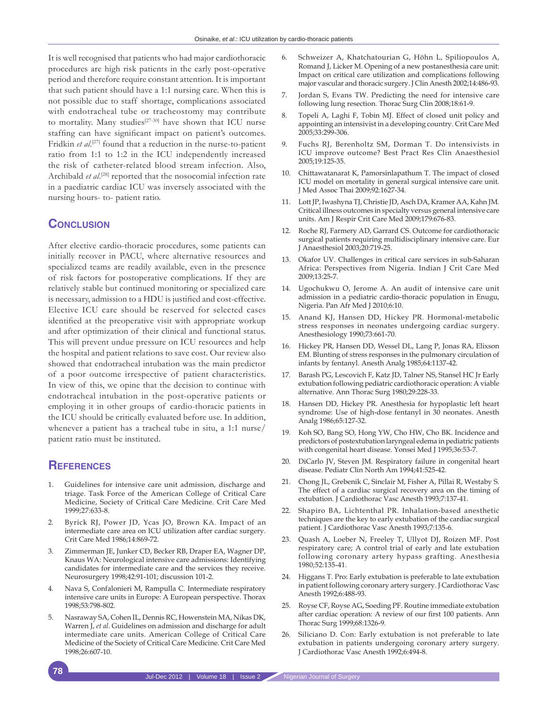It is well recognised that patients who had major cardiothoracic procedures are high risk patients in the early post-operative period and therefore require constant attention. It is important that such patient should have a 1:1 nursing care. When this is not possible due to staff shortage, complications associated with endotracheal tube or tracheostomy may contribute to mortality. Many studies<sup>[27-30]</sup> have shown that ICU nurse staffing can have significant impact on patient's outcomes. Fridkin et al.<sup>[27]</sup> found that a reduction in the nurse-to-patient ratio from 1:1 to 1:2 in the ICU independently increased the risk of catheter-related blood stream infection. Also, Archibald et al.<sup>[28]</sup> reported that the nosocomial infection rate in a paediatric cardiac ICU was inversely associated with the nursing hours- to- patient ratio.

### **Conclusion**

After elective cardio-thoracic procedures, some patients can initially recover in PACU, where alternative resources and specialized teams are readily available, even in the presence of risk factors for postoperative complications. If they are relatively stable but continued monitoring or specialized care is necessary, admission to a HDU is justified and cost-effective. Elective ICU care should be reserved for selected cases identified at the preoperative visit with appropriate workup and after optimization of their clinical and functional status. This will prevent undue pressure on ICU resources and help the hospital and patient relations to save cost. Our review also showed that endotracheal intubation was the main predictor of a poor outcome irrespective of patient characteristics. In view of this, we opine that the decision to continue with endotracheal intubation in the post-operative patients or employing it in other groups of cardio-thoracic patients in the ICU should be critically evaluated before use. In addition, whenever a patient has a tracheal tube in situ, a 1:1 nurse/ patient ratio must be instituted.

### **References**

- Guidelines for intensive care unit admission, discharge and triage. Task Force of the American College of Critical Care Medicine, Society of Critical Care Medicine. Crit Care Med 1999;27:633-8.
- 2. Byrick RJ, Power JD, Ycas JO, Brown KA. Impact of an intermediate care area on ICU utilization after cardiac surgery. Crit Care Med 1986;14:869-72.
- 3. Zimmerman JE, Junker CD, Becker RB, Draper EA, Wagner DP, Knaus WA: Neurological intensive care admissions: Identifying candidates for intermediate care and the services they receive. Neurosurgery 1998;42:91-101; discussion 101-2.
- 4. Nava S, Confalonieri M, Rampulla C. Intermediate respiratory intensive care units in Europe: A European perspective. Thorax 1998;53:798-802.
- 5. Nasraway SA, Cohen IL, Dennis RC, Howenstein MA, Nikas DK, Warren J, *et al*. Guidelines on admission and discharge for adult intermediate care units. American College of Critical Care Medicine of the Society of Critical Care Medicine. Crit Care Med 1998;26:607-10.
- 6. Schweizer A, Khatchatourian G, Höhn L, Spiliopoulos A, Romand J, Licker M. Opening of a new postanesthesia care unit: Impact on critical care utilization and complications following major vascular and thoracic surgery. J Clin Anesth 2002;14:486-93.
- 7. Jordan S, Evans TW. Predicting the need for intensive care following lung resection. Thorac Surg Clin 2008;18:61-9.
- 8. Topeli A, Laghi F, Tobin MJ. Effect of closed unit policy and appointing an intensivist in a developing country. Crit Care Med 2005;33:299-306.
- 9. Fuchs RJ, Berenholtz SM, Dorman T. Do intensivists in ICU improve outcome? Best Pract Res Clin Anaesthesiol 2005;19:125-35.
- 10. Chittawatanarat K, Pamorsinlapathum T. The impact of closed ICU model on mortality in general surgical intensive care unit. J Med Assoc Thai 2009;92:1627-34.
- 11. Lott JP, Iwashyna TJ, Christie JD, Asch DA, Kramer AA, Kahn JM. Critical illness outcomes in specialty versus general intensive care units. Am J Respir Crit Care Med 2009;179:676-83.
- 12. Roche RJ, Farmery AD, Garrard CS. Outcome for cardiothoracic surgical patients requiring multidisciplinary intensive care. Eur J Anaesthesiol 2003;20:719-25.
- 13. Okafor UV. Challenges in critical care services in sub-Saharan Africa: Perspectives from Nigeria. Indian J Crit Care Med 2009;13:25-7.
- 14. Ugochukwu O, Jerome A. An audit of intensive care unit admission in a pediatric cardio-thoracic population in Enugu, Nigeria. Pan Afr Med J 2010;6:10.
- 15. Anand KJ, Hansen DD, Hickey PR. Hormonal-metabolic stress responses in neonates undergoing cardiac surgery. Anesthesiology 1990;73:661-70.
- 16. Hickey PR, Hansen DD, Wessel DL, Lang P, Jonas RA, Elixson EM. Blunting of stress responses in the pulmonary circulation of infants by fentanyl. Anesth Analg 1985;64:1137-42.
- 17. Barash PG, Lescovich F, Katz JD, Talner NS, Stansel HC Jr Early extubation following pediatric cardiothoracic operation: A viable alternative. Ann Thorac Surg 1980;29:228-33.
- 18. Hansen DD, Hickey PR. Anesthesia for hypoplastic left heart syndrome: Use of high-dose fentanyl in 30 neonates. Anesth Analg 1986;65:127-32.
- 19. Koh SO, Bang SO, Hong YW, Cho HW, Cho BK. Incidence and predictors of postextubation laryngeal edema in pediatric patients with congenital heart disease. Yonsei Med J 1995;36:53-7.
- 20. DiCarlo JV, Steven JM. Respiratory failure in congenital heart disease. Pediatr Clin North Am 1994;41:525-42.
- 21. Chong JL, Grebenik C, Sinclair M, Fisher A, Pillai R, Westaby S. The effect of a cardiac surgical recovery area on the timing of extubation. J Cardiothorac Vasc Anesth 1993;7:137-41.
- 22. Shapiro BA, Lichtenthal PR. Inhalation-based anesthetic techniques are the key to early extubation of the cardiac surgical patient. J Cardiothorac Vasc Anesth 1993;7:135-6.
- 23. Quash A, Loeber N, Freeley T, Ullyot DJ, Roizen MF. Post respiratory care; A control trial of early and late extubation following coronary artery hypass grafting. Anesthesia 1980;52:135-41.
- 24. Higgans T. Pro: Early extubation is preferable to late extubation in patient following coronary artery surgery. J Cardiothorac Vasc Anesth 1992;6:488-93.
- 25. Royse CF, Royse AG, Soeding PF. Routine immediate extubation after cardiac operation: A review of our first 100 patients. Ann Thorac Surg 1999;68:1326-9.
- 26. Siliciano D. Con: Early extubation is not preferable to late extubation in patients undergoing coronary artery surgery. J Cardiothorac Vasc Anesth 1992;6:494-8.